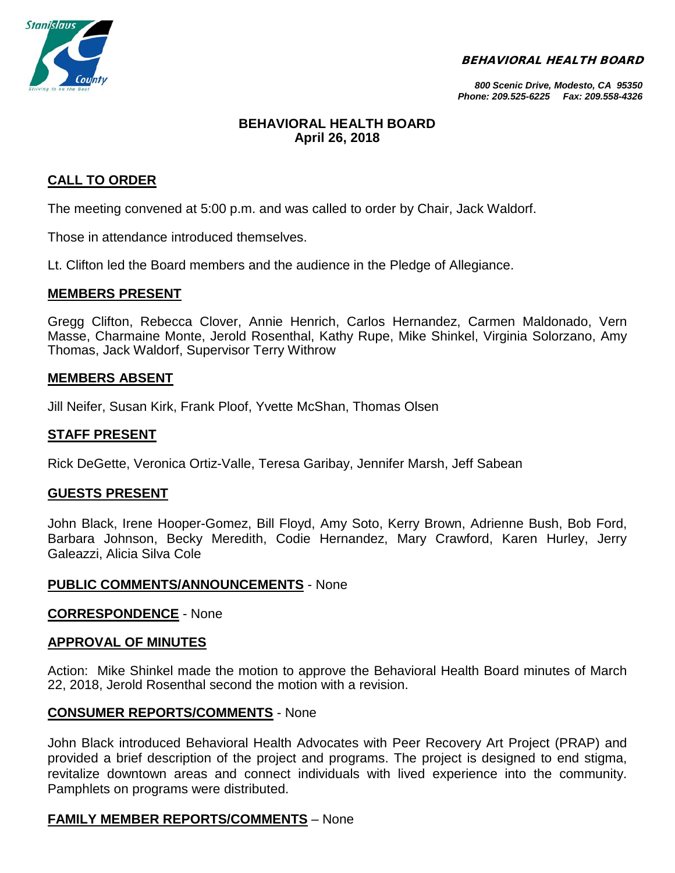BEHAVIORAL HEALTH BOARD



*800 Scenic Drive, Modesto, CA 95350 Phone: 209.525-6225 Fax: 209.558-4326*

# **BEHAVIORAL HEALTH BOARD April 26, 2018**

# **CALL TO ORDER**

The meeting convened at 5:00 p.m. and was called to order by Chair, Jack Waldorf.

Those in attendance introduced themselves.

Lt. Clifton led the Board members and the audience in the Pledge of Allegiance.

## **MEMBERS PRESENT**

Gregg Clifton, Rebecca Clover, Annie Henrich, Carlos Hernandez, Carmen Maldonado, Vern Masse, Charmaine Monte, Jerold Rosenthal, Kathy Rupe, Mike Shinkel, Virginia Solorzano, Amy Thomas, Jack Waldorf, Supervisor Terry Withrow

## **MEMBERS ABSENT**

Jill Neifer, Susan Kirk, Frank Ploof, Yvette McShan, Thomas Olsen

## **STAFF PRESENT**

Rick DeGette, Veronica Ortiz-Valle, Teresa Garibay, Jennifer Marsh, Jeff Sabean

## **GUESTS PRESENT**

John Black, Irene Hooper-Gomez, Bill Floyd, Amy Soto, Kerry Brown, Adrienne Bush, Bob Ford, Barbara Johnson, Becky Meredith, Codie Hernandez, Mary Crawford, Karen Hurley, Jerry Galeazzi, Alicia Silva Cole

## **PUBLIC COMMENTS/ANNOUNCEMENTS** - None

## **CORRESPONDENCE** - None

## **APPROVAL OF MINUTES**

Action: Mike Shinkel made the motion to approve the Behavioral Health Board minutes of March 22, 2018, Jerold Rosenthal second the motion with a revision.

## **CONSUMER REPORTS/COMMENTS** - None

John Black introduced Behavioral Health Advocates with Peer Recovery Art Project (PRAP) and provided a brief description of the project and programs. The project is designed to end stigma, revitalize downtown areas and connect individuals with lived experience into the community. Pamphlets on programs were distributed.

## **FAMILY MEMBER REPORTS/COMMENTS** – None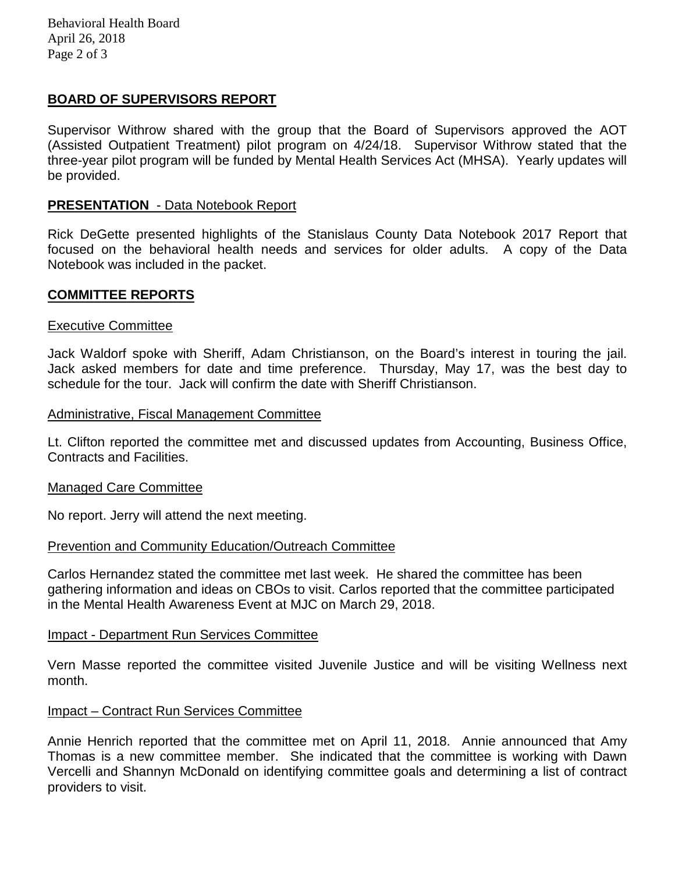Behavioral Health Board April 26, 2018 Page 2 of 3

# **BOARD OF SUPERVISORS REPORT**

Supervisor Withrow shared with the group that the Board of Supervisors approved the AOT (Assisted Outpatient Treatment) pilot program on 4/24/18. Supervisor Withrow stated that the three-year pilot program will be funded by Mental Health Services Act (MHSA). Yearly updates will be provided.

## **PRESENTATION** - Data Notebook Report

Rick DeGette presented highlights of the Stanislaus County Data Notebook 2017 Report that focused on the behavioral health needs and services for older adults. A copy of the Data Notebook was included in the packet.

## **COMMITTEE REPORTS**

## Executive Committee

Jack Waldorf spoke with Sheriff, Adam Christianson, on the Board's interest in touring the jail. Jack asked members for date and time preference. Thursday, May 17, was the best day to schedule for the tour. Jack will confirm the date with Sheriff Christianson.

## Administrative, Fiscal Management Committee

Lt. Clifton reported the committee met and discussed updates from Accounting, Business Office, Contracts and Facilities.

## Managed Care Committee

No report. Jerry will attend the next meeting.

## Prevention and Community Education/Outreach Committee

Carlos Hernandez stated the committee met last week. He shared the committee has been gathering information and ideas on CBOs to visit. Carlos reported that the committee participated in the Mental Health Awareness Event at MJC on March 29, 2018.

## Impact - Department Run Services Committee

Vern Masse reported the committee visited Juvenile Justice and will be visiting Wellness next month.

## Impact – Contract Run Services Committee

Annie Henrich reported that the committee met on April 11, 2018. Annie announced that Amy Thomas is a new committee member. She indicated that the committee is working with Dawn Vercelli and Shannyn McDonald on identifying committee goals and determining a list of contract providers to visit.